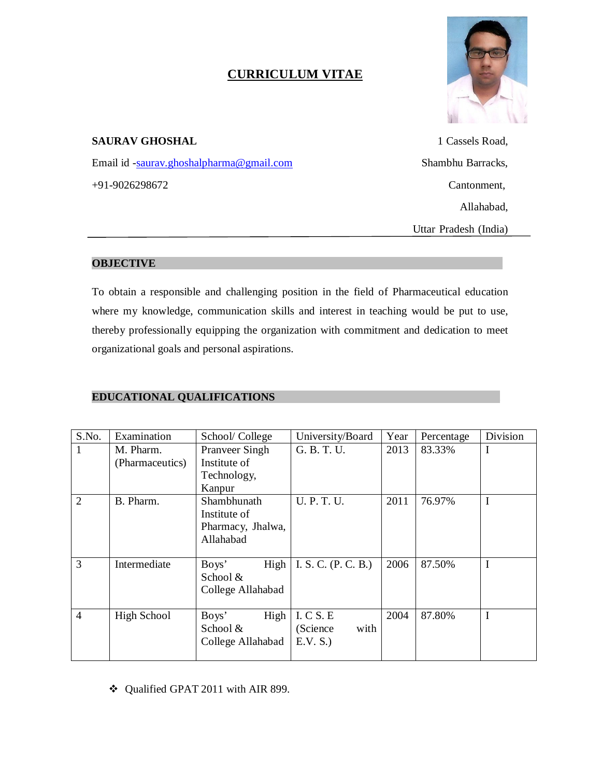# **CURRICULUM VITAE**



# **SAURAV GHOSHAL** 1 Cassels Road,

Email id -saurav.ghoshalpharma@gmail.com Shambhu Barracks, +91-9026298672 Cantonment,

Allahabad,

Uttar Pradesh (India)

## **OBJECTIVE .**

To obtain a responsible and challenging position in the field of Pharmaceutical education where my knowledge, communication skills and interest in teaching would be put to use, thereby professionally equipping the organization with commitment and dedication to meet organizational goals and personal aspirations.

# **EDUCATIONAL QUALIFICATIONS .**

| S.No.          | Examination     | School/College        | University/Board    | Year | Percentage | Division |
|----------------|-----------------|-----------------------|---------------------|------|------------|----------|
| 1              | M. Pharm.       | <b>Pranveer Singh</b> | G. B. T. U.         | 2013 | 83.33%     | I        |
|                | (Pharmaceutics) | Institute of          |                     |      |            |          |
|                |                 | Technology,           |                     |      |            |          |
|                |                 | Kanpur                |                     |      |            |          |
| $\overline{2}$ | B. Pharm.       | Shambhunath           | <b>U. P. T. U.</b>  | 2011 | 76.97%     | I        |
|                |                 | Institute of          |                     |      |            |          |
|                |                 | Pharmacy, Jhalwa,     |                     |      |            |          |
|                |                 | Allahabad             |                     |      |            |          |
|                |                 |                       |                     |      |            |          |
| 3              | Intermediate    | Boys'<br>High         | I. S. C. (P. C. B.) | 2006 | 87.50%     | I        |
|                |                 | School &              |                     |      |            |          |
|                |                 | College Allahabad     |                     |      |            |          |
|                |                 |                       |                     |      |            |          |
| $\overline{4}$ | High School     | High<br>Boys'         | I. C S. E           | 2004 | 87.80%     | I        |
|                |                 | School &              | (Science<br>with    |      |            |          |
|                |                 | College Allahabad     | E.V. S.)            |      |            |          |
|                |                 |                       |                     |      |            |          |

Qualified GPAT 2011 with AIR 899.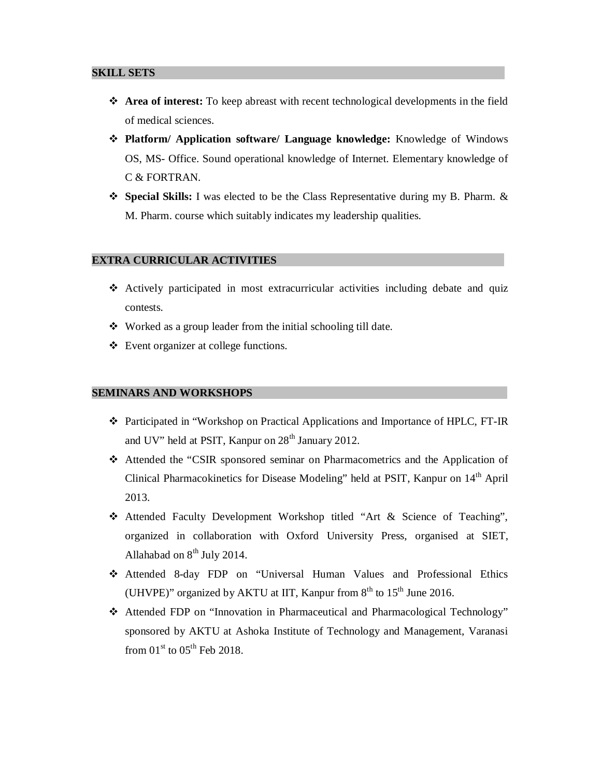#### **SKILL SETS .**

- **Area of interest:** To keep abreast with recent technological developments in the field of medical sciences.
- **Platform/ Application software/ Language knowledge:** Knowledge of Windows OS, MS- Office. Sound operational knowledge of Internet. Elementary knowledge of C & FORTRAN.
- **Special Skills:** I was elected to be the Class Representative during my B. Pharm. & M. Pharm. course which suitably indicates my leadership qualities.

#### **EXTRA CURRICULAR ACTIVITIES .**

- Actively participated in most extracurricular activities including debate and quiz contests.
- Worked as a group leader from the initial schooling till date.
- Event organizer at college functions.

#### **SEMINARS AND WORKSHOPS .**

- \* Participated in "Workshop on Practical Applications and Importance of HPLC, FT-IR and UV" held at PSIT, Kanpur on  $28<sup>th</sup>$  January 2012.
- Attended the "CSIR sponsored seminar on Pharmacometrics and the Application of Clinical Pharmacokinetics for Disease Modeling" held at PSIT, Kanpur on 14<sup>th</sup> April 2013.
- Attended Faculty Development Workshop titled "Art & Science of Teaching", organized in collaboration with Oxford University Press, organised at SIET, Allahabad on  $8<sup>th</sup>$  July 2014.
- Attended 8-day FDP on "Universal Human Values and Professional Ethics (UHVPE)" organized by AKTU at IIT, Kanpur from  $8<sup>th</sup>$  to  $15<sup>th</sup>$  June 2016.
- Attended FDP on "Innovation in Pharmaceutical and Pharmacological Technology" sponsored by AKTU at Ashoka Institute of Technology and Management, Varanasi from  $01<sup>st</sup>$  to  $05<sup>th</sup>$  Feb 2018.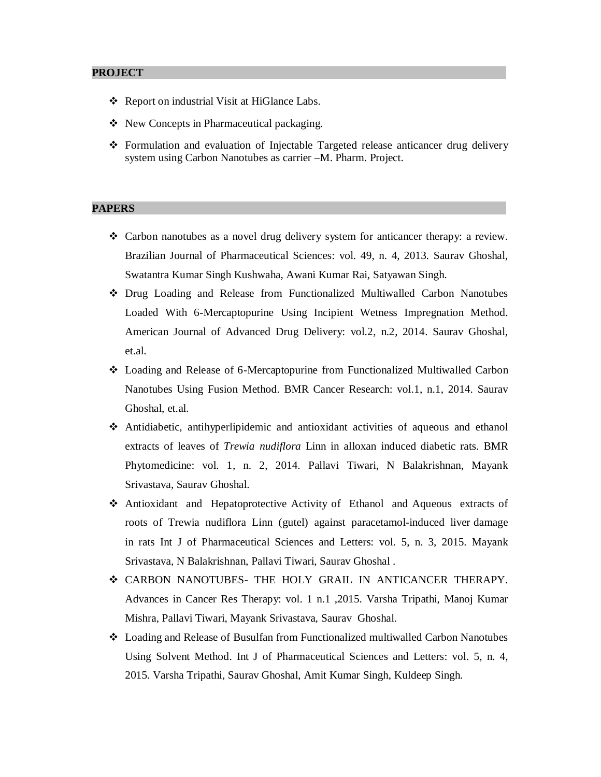#### **PROJECT .**

- \* Report on industrial Visit at HiGlance Labs.
- ◆ New Concepts in Pharmaceutical packaging.
- Formulation and evaluation of Injectable Targeted release anticancer drug delivery system using Carbon Nanotubes as carrier –M. Pharm. Project.

#### **PAPERS .**

- $\triangleleft$  Carbon nanotubes as a novel drug delivery system for anticancer therapy: a review. Brazilian Journal of Pharmaceutical Sciences: vol. 49, n. 4, 2013. Saurav Ghoshal, Swatantra Kumar Singh Kushwaha, Awani Kumar Rai, Satyawan Singh.
- Drug Loading and Release from Functionalized Multiwalled Carbon Nanotubes Loaded With 6-Mercaptopurine Using Incipient Wetness Impregnation Method. American Journal of Advanced Drug Delivery: vol.2, n.2, 2014. Saurav Ghoshal, et.al.
- Loading and Release of 6-Mercaptopurine from Functionalized Multiwalled Carbon Nanotubes Using Fusion Method. BMR Cancer Research: vol.1, n.1, 2014. Saurav Ghoshal, et.al.
- Antidiabetic, antihyperlipidemic and antioxidant activities of aqueous and ethanol extracts of leaves of *Trewia nudiflora* Linn in alloxan induced diabetic rats. BMR Phytomedicine: vol. 1, n. 2, 2014. Pallavi Tiwari, N Balakrishnan, Mayank Srivastava, Saurav Ghoshal.
- Antioxidant and Hepatoprotective Activity of Ethanol and Aqueous extracts of roots of Trewia nudiflora Linn (gutel) against paracetamol-induced liver damage in rats Int J of Pharmaceutical Sciences and Letters: vol. 5, n. 3, 2015. Mayank Srivastava, N Balakrishnan, Pallavi Tiwari, Saurav Ghoshal .
- CARBON NANOTUBES- THE HOLY GRAIL IN ANTICANCER THERAPY. Advances in Cancer Res Therapy: vol. 1 n.1 ,2015. Varsha Tripathi, Manoj Kumar Mishra, Pallavi Tiwari, Mayank Srivastava, Saurav Ghoshal.
- Loading and Release of Busulfan from Functionalized multiwalled Carbon Nanotubes Using Solvent Method. Int J of Pharmaceutical Sciences and Letters: vol. 5, n. 4, 2015. Varsha Tripathi, Saurav Ghoshal, Amit Kumar Singh, Kuldeep Singh.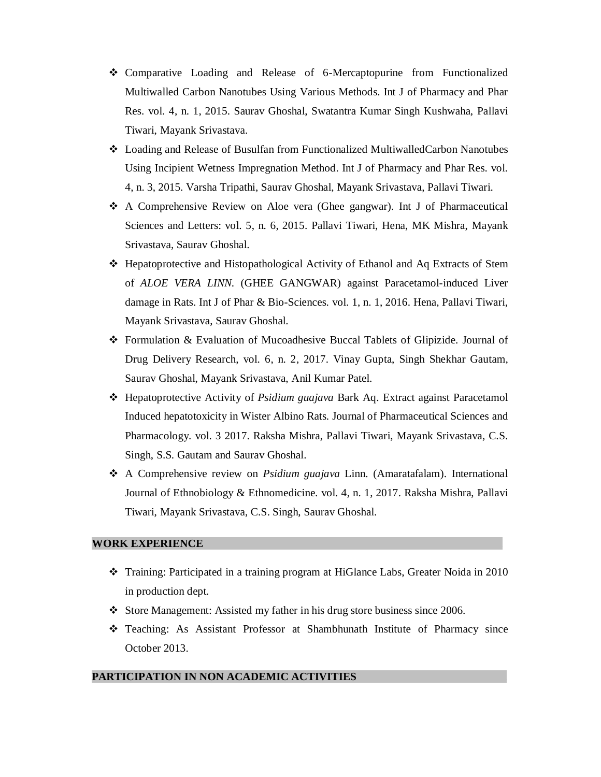- Comparative Loading and Release of 6-Mercaptopurine from Functionalized Multiwalled Carbon Nanotubes Using Various Methods. Int J of Pharmacy and Phar Res. vol. 4, n. 1, 2015. Saurav Ghoshal, Swatantra Kumar Singh Kushwaha, Pallavi Tiwari, Mayank Srivastava.
- Loading and Release of Busulfan from Functionalized MultiwalledCarbon Nanotubes Using Incipient Wetness Impregnation Method. Int J of Pharmacy and Phar Res. vol. 4, n. 3, 2015. Varsha Tripathi, Saurav Ghoshal, Mayank Srivastava, Pallavi Tiwari.
- A Comprehensive Review on Aloe vera (Ghee gangwar). Int J of Pharmaceutical Sciences and Letters: vol. 5, n. 6, 2015. Pallavi Tiwari, Hena, MK Mishra, Mayank Srivastava, Saurav Ghoshal.
- Hepatoprotective and Histopathological Activity of Ethanol and Aq Extracts of Stem of *ALOE VERA LINN.* (GHEE GANGWAR) against Paracetamol-induced Liver damage in Rats. Int J of Phar & Bio-Sciences. vol. 1, n. 1, 2016. Hena, Pallavi Tiwari, Mayank Srivastava, Saurav Ghoshal.
- Formulation & Evaluation of Mucoadhesive Buccal Tablets of Glipizide. Journal of Drug Delivery Research, vol. 6, n. 2, 2017. Vinay Gupta, Singh Shekhar Gautam, Saurav Ghoshal, Mayank Srivastava, Anil Kumar Patel.
- Hepatoprotective Activity of *Psidium guajava* Bark Aq. Extract against Paracetamol Induced hepatotoxicity in Wister Albino Rats. Journal of Pharmaceutical Sciences and Pharmacology. vol. 3 2017. Raksha Mishra, Pallavi Tiwari, Mayank Srivastava, C.S. Singh, S.S. Gautam and Saurav Ghoshal.
- A Comprehensive review on *Psidium guajava* Linn. (Amaratafalam). International Journal of Ethnobiology & Ethnomedicine. vol. 4, n. 1, 2017. Raksha Mishra, Pallavi Tiwari, Mayank Srivastava, C.S. Singh, Saurav Ghoshal.

#### **WORK EXPERIENCE .**

- Training: Participated in a training program at HiGlance Labs, Greater Noida in 2010 in production dept.
- Store Management: Assisted my father in his drug store business since 2006.
- Teaching: As Assistant Professor at Shambhunath Institute of Pharmacy since October 2013.

## **PARTICIPATION IN NON ACADEMIC ACTIVITIES .**